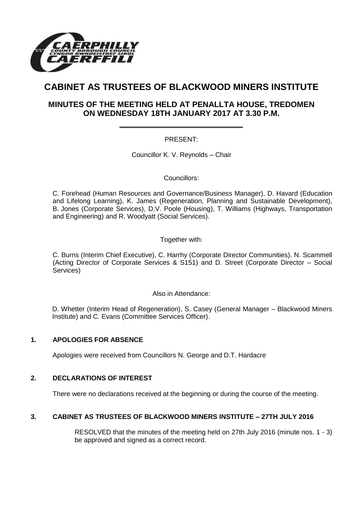

# **CABINET AS TRUSTEES OF BLACKWOOD MINERS INSTITUTE**

# **MINUTES OF THE MEETING HELD AT PENALLTA HOUSE, TREDOMEN ON WEDNESDAY 18TH JANUARY 2017 AT 3.30 P.M.**

# PRESENT:

Councillor K. V. Reynolds – Chair

#### Councillors:

C. Forehead (Human Resources and Governance/Business Manager), D. Havard (Education and Lifelong Learning), K. James (Regeneration, Planning and Sustainable Development), B. Jones (Corporate Services), D.V. Poole (Housing), T. Williams (Highways, Transportation and Engineering) and R. Woodyatt (Social Services).

#### Together with:

C. Burns (Interim Chief Executive), C. Harrhy (Corporate Director Communities). N. Scammell (Acting Director of Corporate Services & S151) and D. Street (Corporate Director – Social Services)

Also in Attendance:

D. Whetter (Interim Head of Regeneration), S. Casey (General Manager – Blackwood Miners Institute) and C. Evans (Committee Services Officer).

# **1. APOLOGIES FOR ABSENCE**

Apologies were received from Councillors N. George and D.T. Hardacre

# **2. DECLARATIONS OF INTEREST**

There were no declarations received at the beginning or during the course of the meeting.

# **3. CABINET AS TRUSTEES OF BLACKWOOD MINERS INSTITUTE – 27TH JULY 2016**

RESOLVED that the minutes of the meeting held on 27th July 2016 (minute nos. 1 - 3) be approved and signed as a correct record.